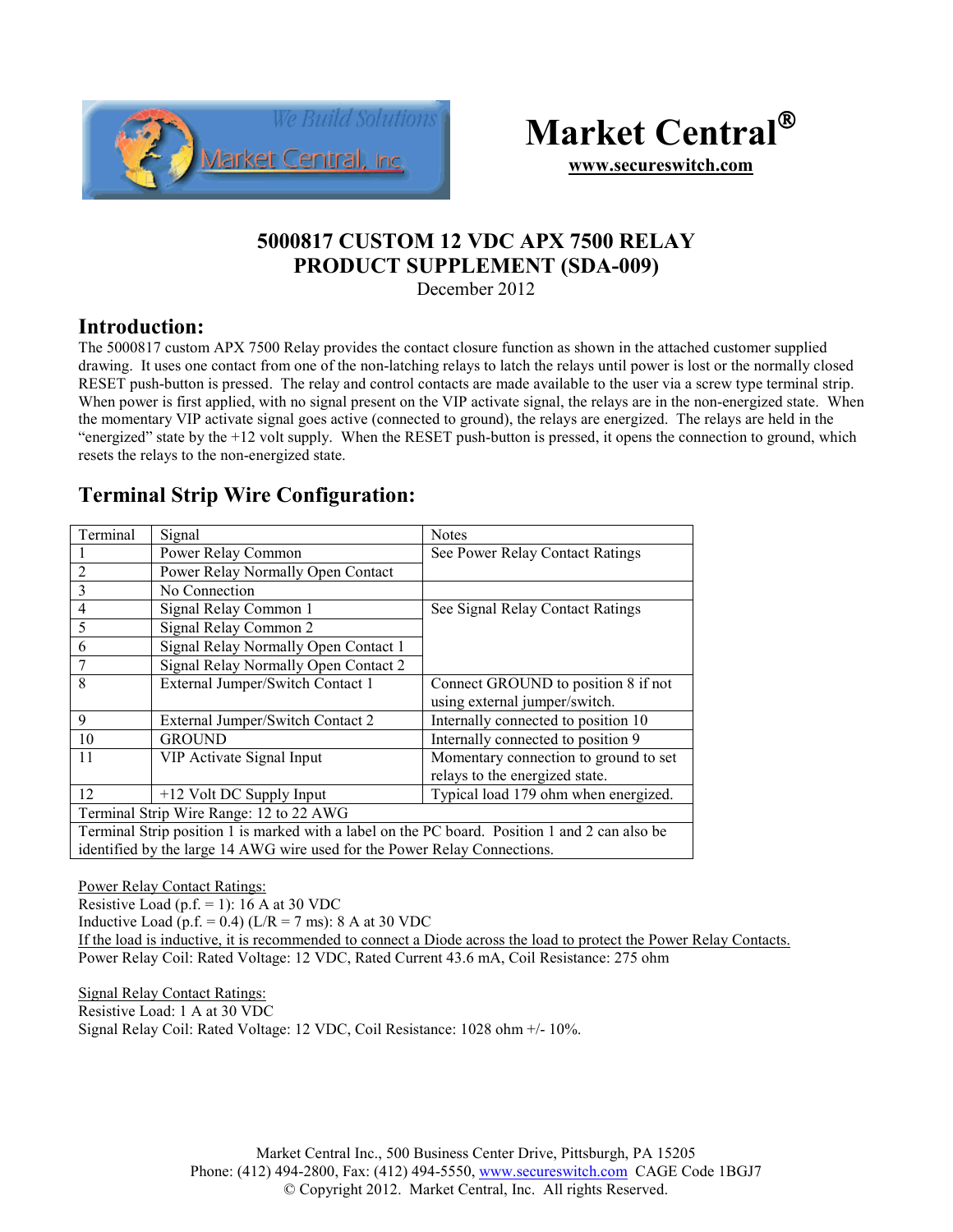



**www.secureswitch.com**

## **5000817 CUSTOM 12 VDC APX 7500 RELAY PRODUCT SUPPLEMENT (SDA-009)**

December 2012

## **Introduction:**

The 5000817 custom APX 7500 Relay provides the contact closure function as shown in the attached customer supplied drawing. It uses one contact from one of the non-latching relays to latch the relays until power is lost or the normally closed RESET push-button is pressed. The relay and control contacts are made available to the user via a screw type terminal strip. When power is first applied, with no signal present on the VIP activate signal, the relays are in the non-energized state. When the momentary VIP activate signal goes active (connected to ground), the relays are energized. The relays are held in the "energized" state by the +12 volt supply. When the RESET push-button is pressed, it opens the connection to ground, which resets the relays to the non-energized state.

## **Terminal Strip Wire Configuration:**

| Terminal                                                                                       | Signal                               | <b>Notes</b>                          |
|------------------------------------------------------------------------------------------------|--------------------------------------|---------------------------------------|
|                                                                                                | Power Relay Common                   | See Power Relay Contact Ratings       |
| $\overline{2}$                                                                                 | Power Relay Normally Open Contact    |                                       |
| 3                                                                                              | No Connection                        |                                       |
| $\overline{4}$                                                                                 | Signal Relay Common 1                | See Signal Relay Contact Ratings      |
| 5                                                                                              | Signal Relay Common 2                |                                       |
| 6                                                                                              | Signal Relay Normally Open Contact 1 |                                       |
| 7                                                                                              | Signal Relay Normally Open Contact 2 |                                       |
| 8                                                                                              | External Jumper/Switch Contact 1     | Connect GROUND to position 8 if not   |
|                                                                                                |                                      | using external jumper/switch.         |
| 9                                                                                              | External Jumper/Switch Contact 2     | Internally connected to position 10   |
| 10                                                                                             | <b>GROUND</b>                        | Internally connected to position 9    |
| 11                                                                                             | VIP Activate Signal Input            | Momentary connection to ground to set |
|                                                                                                |                                      | relays to the energized state.        |
| 12                                                                                             | +12 Volt DC Supply Input             | Typical load 179 ohm when energized.  |
| Terminal Strip Wire Range: 12 to 22 AWG                                                        |                                      |                                       |
| Terminal Strip position 1 is marked with a label on the PC board. Position 1 and 2 can also be |                                      |                                       |
| identified by the large 14 AWG wire used for the Power Relay Connections.                      |                                      |                                       |

Power Relay Contact Ratings:

Resistive Load (p.f.  $= 1$ ): 16 A at 30 VDC

Inductive Load (p.f. = 0.4) ( $L/R = 7$  ms): 8 A at 30 VDC

If the load is inductive, it is recommended to connect a Diode across the load to protect the Power Relay Contacts. Power Relay Coil: Rated Voltage: 12 VDC, Rated Current 43.6 mA, Coil Resistance: 275 ohm

Signal Relay Contact Ratings:

Resistive Load: 1 A at 30 VDC

Signal Relay Coil: Rated Voltage: 12 VDC, Coil Resistance: 1028 ohm +/- 10%.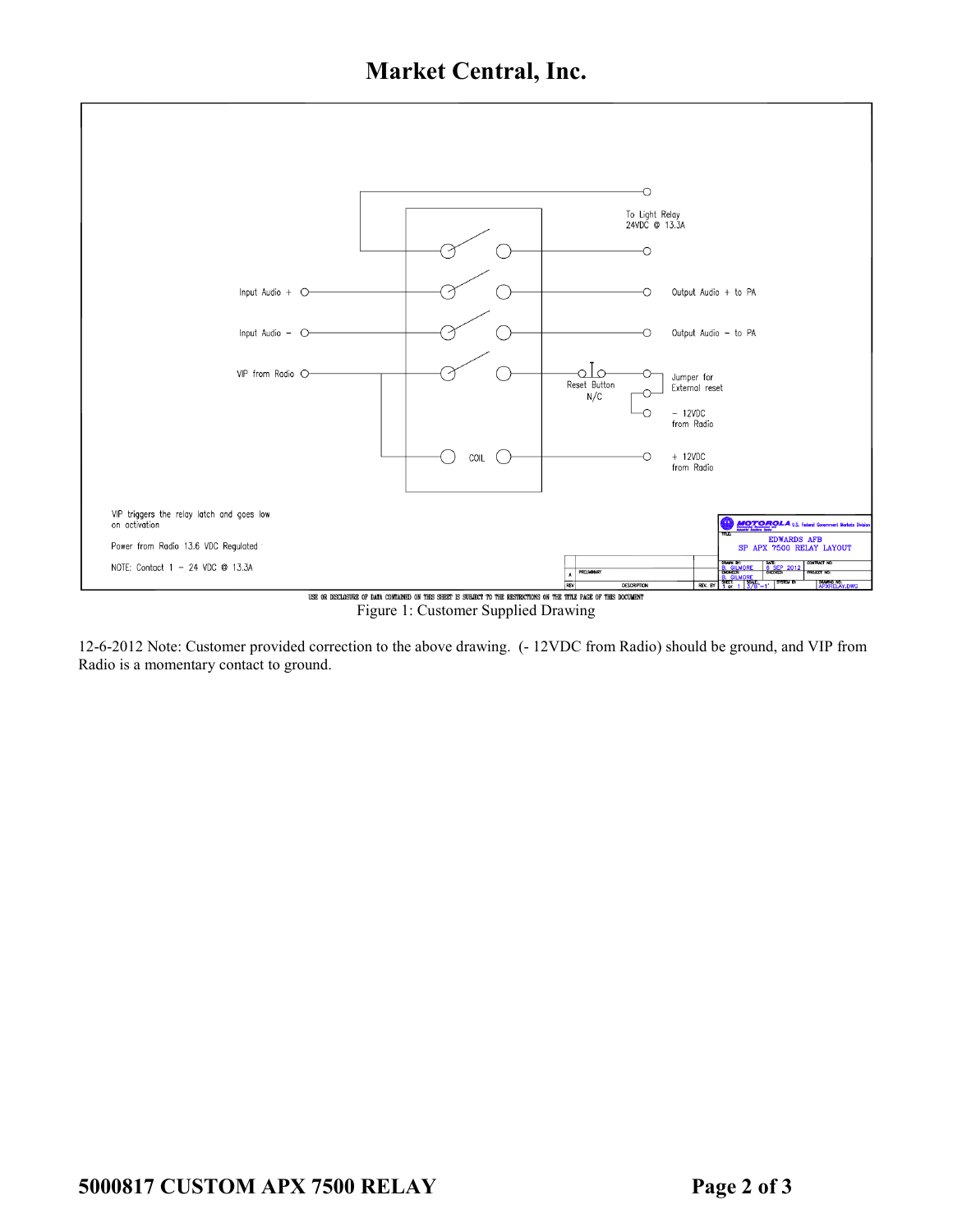**Market Central, Inc.** 



Figure 1: Customer Supplied Drawing

12-6-2012 Note: Customer provided correction to the above drawing. (- 12VDC from Radio) should be ground, and VIP from Radio is a momentary contact to ground.